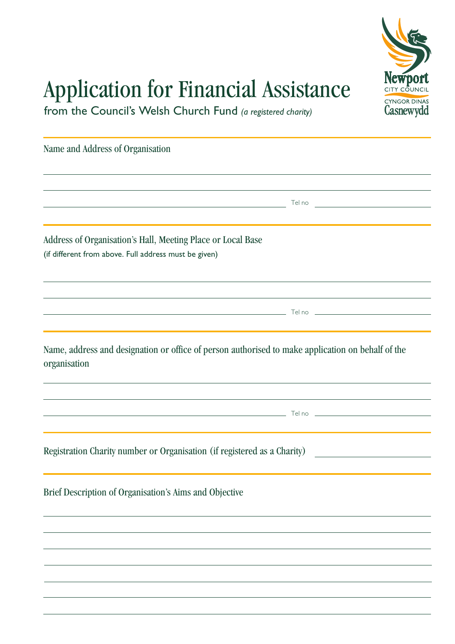

## Application for Financial Assistance

from the Council's Welsh Church Fund *(a registered charity)*

Name and Address of Organisation

Address of Organisation's Hall, Meeting Place or Local Base (if different from above. Full address must be given)

Name, address and designation or office of person authorised to make application on behalf of the organisation

 $\overline{\phantom{a}}$  Tel no  $\overline{\phantom{a}}$ 

Tel no

Tel no

Registration Charity number or Organisation (if registered as a Charity)

Brief Description of Organisation's Aims and Objective